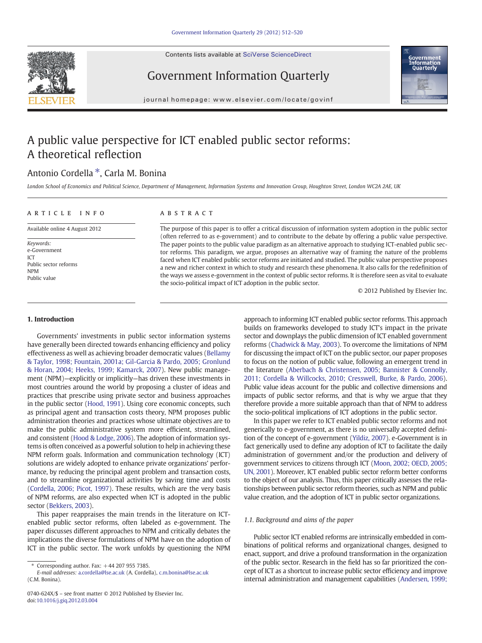Contents lists available at SciVerse ScienceDirect





Government Information Quarterly

journal homepage: www.elsevier.com/locate/govinf

## A public value perspective for ICT enabled public sector reforms: A theoretical reflection

### Antonio Cordella ⁎, Carla M. Bonina

London School of Economics and Political Science, Department of Management, Information Systems and Innovation Group, Houghton Street, London WC2A 2AE, UK

## article info abstract Available online 4 August 2012

The purpose of this paper is to offer a critical discussion of information system adoption in the public sector (often referred to as e-government) and to contribute to the debate by offering a public value perspective. The paper points to the public value paradigm as an alternative approach to studying ICT-enabled public sector reforms. This paradigm, we argue, proposes an alternative way of framing the nature of the problems faced when ICT enabled public sector reforms are initiated and studied. The public value perspective proposes a new and richer context in which to study and research these phenomena. It also calls for the redefinition of the ways we assess e-government in the context of public sector reforms. It is therefore seen as vital to evaluate the socio-political impact of ICT adoption in the public sector.

© 2012 Published by Elsevier Inc.

#### 1. Introduction

Public sector reforms

Keywords: e-Government ICT

NPM Public value

Governments' investments in public sector information systems have generally been directed towards enhancing efficiency and policy effectiveness as well as achieving broader democratic values ([Bellamy](#page--1-0) [& Taylor, 1998; Fountain, 2001a; Gil-Garcia & Pardo, 2005; Gronlund](#page--1-0) [& Horan, 2004; Heeks, 1999; Kamarck, 2007](#page--1-0)). New public management (NPM)—explicitly or implicitly—has driven these investments in most countries around the world by proposing a cluster of ideas and practices that prescribe using private sector and business approaches in the public sector [\(Hood, 1991](#page--1-0)). Using core economic concepts, such as principal agent and transaction costs theory, NPM proposes public administration theories and practices whose ultimate objectives are to make the public administrative system more efficient, streamlined, and consistent ([Hood & Lodge, 2006\)](#page--1-0). The adoption of information systems is often conceived as a powerful solution to help in achieving these NPM reform goals. Information and communication technology (ICT) solutions are widely adopted to enhance private organizations' performance, by reducing the principal agent problem and transaction costs, and to streamline organizational activities by saving time and costs [\(Cordella, 2006; Picot, 1997\)](#page--1-0). These results, which are the very basis of NPM reforms, are also expected when ICT is adopted in the public sector ([Bekkers, 2003](#page--1-0)).

This paper reappraises the main trends in the literature on ICTenabled public sector reforms, often labeled as e-government. The paper discusses different approaches to NPM and critically debates the implications the diverse formulations of NPM have on the adoption of ICT in the public sector. The work unfolds by questioning the NPM

Corresponding author. Fax: +44 207 955 7385.

E-mail addresses: [a.cordella@lse.ac.uk](mailto:a.cordella@lse.ac.uk) (A. Cordella), [c.m.bonina@lse.ac.uk](mailto:c.m.bonina@lse.ac.uk) (C.M. Bonina).

approach to informing ICT enabled public sector reforms. This approach builds on frameworks developed to study ICT's impact in the private sector and downplays the public dimension of ICT enabled government reforms [\(Chadwick & May, 2003\)](#page--1-0). To overcome the limitations of NPM for discussing the impact of ICT on the public sector, our paper proposes to focus on the notion of public value, following an emergent trend in the literature ([Aberbach & Christensen, 2005; Bannister & Connolly,](#page--1-0) [2011; Cordella & Willcocks, 2010; Cresswell, Burke, & Pardo, 2006\)](#page--1-0). Public value ideas account for the public and collective dimensions and impacts of public sector reforms, and that is why we argue that they therefore provide a more suitable approach than that of NPM to address the socio-political implications of ICT adoptions in the public sector.

In this paper we refer to ICT enabled public sector reforms and not generically to e-government, as there is no universally accepted definition of the concept of e-government ([Yildiz, 2007\)](#page--1-0). e-Government is in fact generically used to define any adoption of ICT to facilitate the daily administration of government and/or the production and delivery of government services to citizens through ICT ([Moon, 2002; OECD, 2005;](#page--1-0) [UN, 2001](#page--1-0)). Moreover, ICT enabled public sector reform better conforms to the object of our analysis. Thus, this paper critically assesses the relationships between public sector reform theories, such as NPM and public value creation, and the adoption of ICT in public sector organizations.

#### 1.1. Background and aims of the paper

Public sector ICT enabled reforms are intrinsically embedded in combinations of political reforms and organizational changes, designed to enact, support, and drive a profound transformation in the organization of the public sector. Research in the field has so far prioritized the concept of ICT as a shortcut to increase public sector efficiency and improve internal administration and management capabilities [\(Andersen, 1999;](#page--1-0)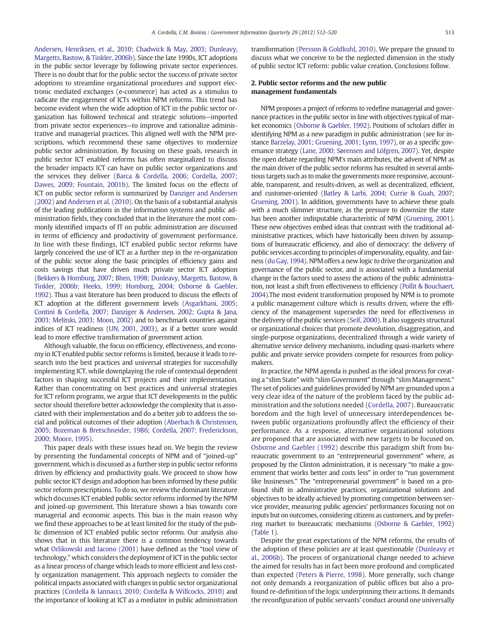[Andersen, Henriksen, et al., 2010; Chadwick & May, 2003; Dunleavy,](#page--1-0) [Margetts, Bastow, & Tinkler, 2006b\)](#page--1-0). Since the late 1990s, ICT adoptions in the public sector leverage by following private sector experiences. There is no doubt that for the public sector the success of private sector adoptions to streamline organizational procedures and support electronic mediated exchanges (e-commerce) has acted as a stimulus to radicate the engagement of ICTs within NPM reforms. This trend has become evident when the wide adoption of ICT in the public sector organization has followed technical and strategic solutions—imported from private sector experiences—to improve and rationalize administrative and managerial practices. This aligned well with the NPM prescriptions, which recommend these same objectives to modernize public sector administration. By focusing on these goals, research in public sector ICT enabled reforms has often marginalized to discuss the broader impacts ICT can have on public sector organizations and the services they deliver ([Barca & Cordella, 2006; Cordella, 2007;](#page--1-0) [Dawes, 2009; Fountain, 2001b\)](#page--1-0). The limited focus on the effects of ICT on public sector reform is summarized by [Danziger and Andersen](#page--1-0) [\(2002\)](#page--1-0) and [Andersen et al. \(2010\).](#page--1-0) On the basis of a substantial analysis of the leading publications in the information systems and public administration fields, they concluded that in the literature the most commonly identified impacts of IT on public administration are discussed in terms of efficiency and productivity of government performance. In line with these findings, ICT enabled public sector reforms have largely conceived the use of ICT as a further step in the re-organization of the public sector along the basic principles of efficiency gains and costs savings that have driven much private sector ICT adoption [\(Bekkers & Homburg, 2007; Bhen, 1998; Dunleavy, Margetts, Bastow, &](#page--1-0) [Tinkler, 2006b; Heeks, 1999; Homburg, 2004; Osborne & Gaebler,](#page--1-0) [1992](#page--1-0)). Thus a vast literature has been produced to discuss the effects of ICT adoption at the different government levels [\(Asgarkhani, 2005;](#page--1-0) [Contini & Cordella, 2007; Danziger & Andersen, 2002; Gupta & Jana,](#page--1-0) [2003; Melitski, 2003; Moon, 2002](#page--1-0)) and to benchmark countries against indices of ICT readiness ([UN, 2001, 2003\)](#page--1-0), as if a better score would lead to more effective transformation of government action.

Although valuable, the focus on efficiency, effectiveness, and economy in ICT enabled public sector reforms is limited, because it leads to research into the best practices and universal strategies for successfully implementing ICT, while downplaying the role of contextual dependent factors in shaping successful ICT projects and their implementation. Rather than concentrating on best practices and universal strategies for ICT reform programs, we argue that ICT developments in the public sector should therefore better acknowledge the complexity that is associated with their implementation and do a better job to address the social and political outcomes of their adoption [\(Aberbach & Christensen,](#page--1-0) [2005; Bozeman & Bretschneider, 1986; Cordella, 2007; Frederickson,](#page--1-0) [2000; Moore, 1995](#page--1-0)).

This paper deals with these issues head on. We begin the review by presenting the fundamental concepts of NPM and of "joined-up" government, which is discussed as a further step in public sector reforms driven by efficiency and productivity goals. We proceed to show how public sector ICT design and adoption has been informed by these public sector reform prescriptions. To do so, we review the dominant literature which discusses ICT enabled public sector reforms informed by the NPM and joined-up government. This literature shows a bias towards core managerial and economic aspects. This bias is the main reason why we find these approaches to be at least limited for the study of the public dimension of ICT enabled public sector reforms. Our analysis also shows that in this literature there is a common tendency towards what [Orlikowski and Iacono \(2001\)](#page--1-0) have defined as the "tool view of technology," which considers the deployment of ICT in the public sector as a linear process of change which leads to more efficient and less costly organization management. This approach neglects to consider the political impacts associated with changes in public sector organizational practices [\(Cordella & Iannacci, 2010; Cordella & Willcocks, 2010\)](#page--1-0) and the importance of looking at ICT as a mediator in public administration

transformation [\(Persson & Goldkuhl, 2010](#page--1-0)). We prepare the ground to discuss what we conceive to be the neglected dimension in the study of public sector ICT reform: public value creation. Conclusions follow.

#### 2. Public sector reforms and the new public management fundamentals

NPM proposes a project of reforms to redefine managerial and governance practices in the public sector in line with objectives typical of market economics [\(Osborne & Gaebler, 1992\)](#page--1-0). Positions of scholars differ in identifying NPM as a new paradigm in public administration (see for instance [Barzelay, 2001; Gruening, 2001; Lynn, 1997](#page--1-0)), or as a specific governance strategy [\(Lane, 2000; Sørensen and Löfgren, 2007\)](#page--1-0). Yet, despite the open debate regarding NPM's main attributes, the advent of NPM as the main driver of the public sector reforms has resulted in several ambitious targets such as to make the governments more responsive, accountable, transparent, and results-driven, as well as decentralized, efficient, and customer-oriented [\(Batley & Larbi, 2004; Currie & Guah, 2007;](#page--1-0) [Gruening, 2001\)](#page--1-0). In addition, governments have to achieve these goals with a much slimmer structure, as the pressure to downsize the state has been another indisputable characteristic of NPM [\(Gruening, 2001](#page--1-0)). These new objectives embed ideas that contrast with the traditional administrative practices, which have historically been driven by assumptions of bureaucratic efficiency, and also of democracy: the delivery of public services according to principles of impersonality, equality, and fairness ([du Gay, 1994\)](#page--1-0). NPM offers a new logic to drive the organization and governance of the public sector, and is associated with a fundamental change in the factors used to assess the actions of the public administration, not least a shift from effectiveness to efficiency [\(Pollit & Bouchaert,](#page--1-0) [2004\)](#page--1-0).The most evident transformation proposed by NPM is to promote a public management culture which is results driven, where the efficiency of the management supersedes the need for effectiveness in the delivery of the public services [\(Self, 2000](#page--1-0)). It also suggests structural or organizational choices that promote devolution, disaggregation, and single-purpose organizations, decentralized through a wide variety of alternative service delivery mechanisms, including quasi-markets where public and private service providers compete for resources from policymakers.

In practice, the NPM agenda is pushed as the ideal process for creating a "slim State" with "slim Government" through "slim Management." The set of policies and guidelines provided by NPM are grounded upon a very clear idea of the nature of the problems faced by the public administration and the solutions needed [\(Cordella, 2007\)](#page--1-0). Bureaucratic boredom and the high level of unnecessary interdependences between public organizations profoundly affect the efficiency of their performance. As a response, alternative organizational solutions are proposed that are associated with new targets to be focused on. [Osborne and Gaebler \(1992\)](#page--1-0) describe this paradigm shift from bureaucratic government to an "entrepreneurial government" where, as proposed by the Clinton administration, it is necessary "to make a government that works better and costs less" in order to "run government like businesses." The "entrepreneurial government" is based on a profound shift in administrative practices, organizational solutions and objectives to be ideally achieved by promoting competition between service provider, measuring public agencies' performances focusing not on inputs but on outcomes, considering citizens as customers, and by preferring market to bureaucratic mechanisms [\(Osborne & Gaebler, 1992](#page--1-0)) [\(Table 1\)](#page--1-0).

Despite the great expectations of the NPM reforms, the results of the adoption of these policies are at least questionable ([Dunleavy et](#page--1-0) [al., 2006b](#page--1-0)). The process of organizational change needed to achieve the aimed for results has in fact been more profound and complicated than expected [\(Peters & Pierre, 1998](#page--1-0)). More generally, such change not only demands a reorganization of public offices but also a profound re-definition of the logic underpinning their actions. It demands the reconfiguration of public servants' conduct around one universally